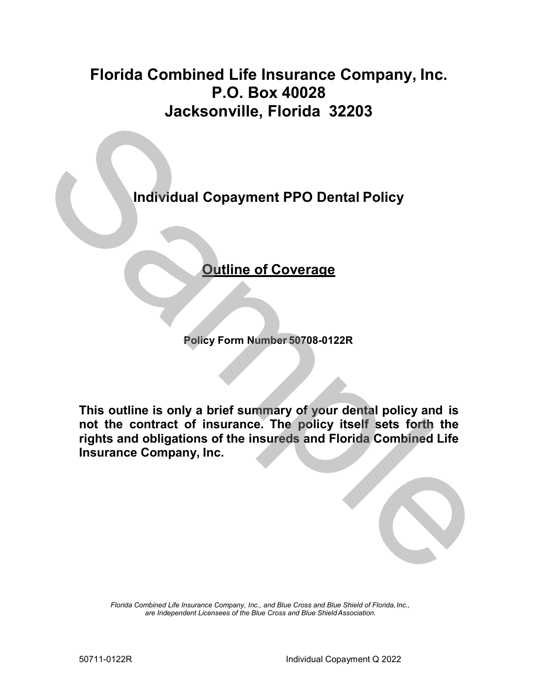# **Florida Combined Life Insurance Company, Inc. P.O. Box 40028 Jacksonville, Florida 32203**

**Individual Copayment PPO Dental Policy**

## **Outline of Coverage**

**Policy Form Number 50708-0122R**

**This outline is only a brief summary of your dental policy and is not the contract of insurance. The policy itself sets forth the rights and obligations of the insureds and Florida Combined Life Insurance Company, Inc.** Profits and Consumer PPO Dental Policy<br>
Profits and Consumer PPO Dental Policy<br>
Profits and Consumer Summer Summer Summer Summer Summer<br>
This cuttine is only a brief summary of your dental policy and is<br>
not the contract o

> *Florida Combined Life Insurance Company, Inc., and Blue Cross and Blue Shield of Florida,Inc., are Independent Licensees of the Blue Cross and Blue ShieldAssociation.*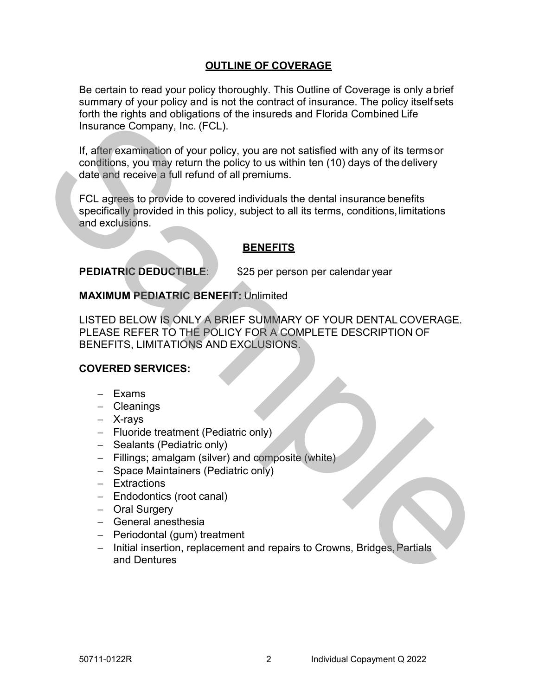### **OUTLINE OF COVERAGE**

Be certain to read your policy thoroughly. This Outline of Coverage is only abrief summary of your policy and is not the contract of insurance. The policy itself sets forth the rights and obligations of the insureds and Florida Combined Life Insurance Company, Inc. (FCL).

If, after examination of your policy, you are not satisfied with any of its termsor conditions, you may return the policy to us within ten (10) days of the delivery date and receive a full refund of all premiums.

FCL agrees to provide to covered individuals the dental insurance benefits specifically provided in this policy, subject to all its terms, conditions,limitations and exclusions.

### **BENEFITS**

**PEDIATRIC DEDUCTIBLE:** \$25 per person per calendar year

### **MAXIMUM PEDIATRIC BENEFIT:** Unlimited

LISTED BELOW IS ONLY A BRIEF SUMMARY OF YOUR DENTAL COVERAGE. PLEASE REFER TO THE POLICY FOR A COMPLETE DESCRIPTION OF BENEFITS, LIMITATIONS AND EXCLUSIONS. Fourier rights and voligations of the inistiests and rotinal computer<br>Let the detection of the stampe of the stampe of the stampe of the stampe of the stampe of the stampe of the stampe of the stampe of the stampe of the s

### **COVERED SERVICES:**

- − Exams
- − Cleanings
- − X-rays
- − Fluoride treatment (Pediatric only)
- − Sealants (Pediatric only)
- − Fillings; amalgam (silver) and composite (white)
- − Space Maintainers (Pediatric only)
- − Extractions
- − Endodontics (root canal)
- − Oral Surgery
- − General anesthesia
- − Periodontal (gum) treatment
- − Initial insertion, replacement and repairs to Crowns, Bridges,Partials and Dentures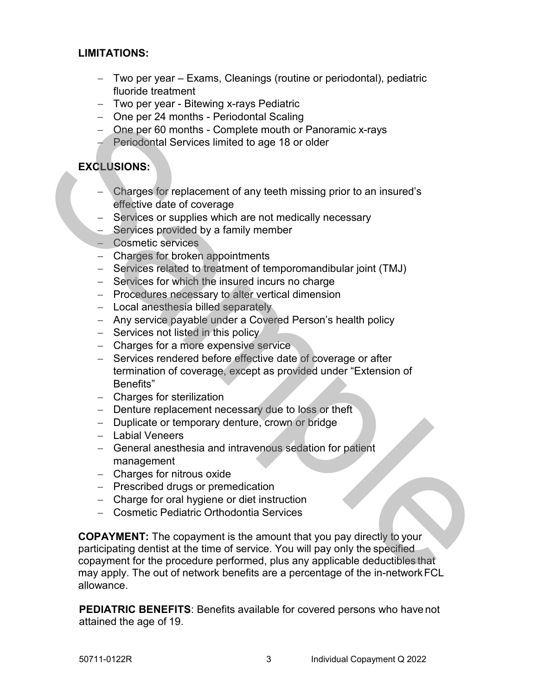### **LIMITATIONS:**

- − Two per year Exams, Cleanings (routine or periodontal), pediatric fluoride treatment
- − Two per year Bitewing x-rays Pediatric
- − One per 24 months Periodontal Scaling
- − One per 60 months Complete mouth or Panoramic x-rays
- − Periodontal Services limited to age 18 or older

### **EXCLUSIONS:**

- − Charges for replacement of any teeth missing prior to an insured's effective date of coverage
- − Services or supplies which are not medically necessary
- − Services provided by a family member
- − Cosmetic services
- − Charges for broken appointments
- − Services related to treatment of temporomandibular joint (TMJ)
- − Services for which the insured incurs no charge
- − Procedures necessary to alter vertical dimension
- − Local anesthesia billed separately
- − Any service payable under a Covered Person's health policy
- − Services not listed in this policy
- − Charges for a more expensive service
- − Services rendered before effective date of coverage or after termination of coverage, except as provided under "Extension of Benefits"
- − Charges for sterilization
- − Denture replacement necessary due to loss or theft
- − Duplicate or temporary denture, crown or bridge
- − Labial Veneers
- − General anesthesia and intravenous sedation for patient management
- − Charges for nitrous oxide
- − Prescribed drugs or premedication
- − Charge for oral hygiene or diet instruction
- − Cosmetic Pediatric Orthodontia Services

**COPAYMENT:** The copayment is the amount that you pay directly to your participating dentist at the time of service. You will pay only the specified copayment for the procedure performed, plus any applicable deductibles that may apply. The out of network benefits are a percentage of the in-networkFCL allowance. - One per 24 months - Pendomial Scaling<br>
- One per 80 months - Complete mouth or Panoramic x-rays<br>
Periodontal Services limited to age 18 or older<br>
EXQLUSIONS:<br>
- Charges for replacement of any teeth missing prior to an in

**PEDIATRIC BENEFITS**: Benefits available for covered persons who have not attained the age of 19.